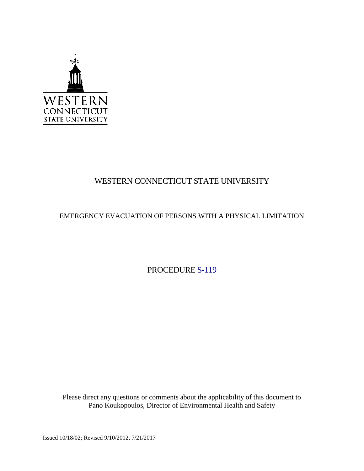

## WESTERN CONNECTICUT STATE UNIVERSITY

## EMERGENCY EVACUATION OF PERSONS WITH A PHYSICAL LIMITATION

PROCEDURE S-119

Please direct any questions or comments about the applicability of this document to Pano Koukopoulos, Director of Environmental Health and Safety

Issued 10/18/02; Revised 9/10/2012, 7/21/2017